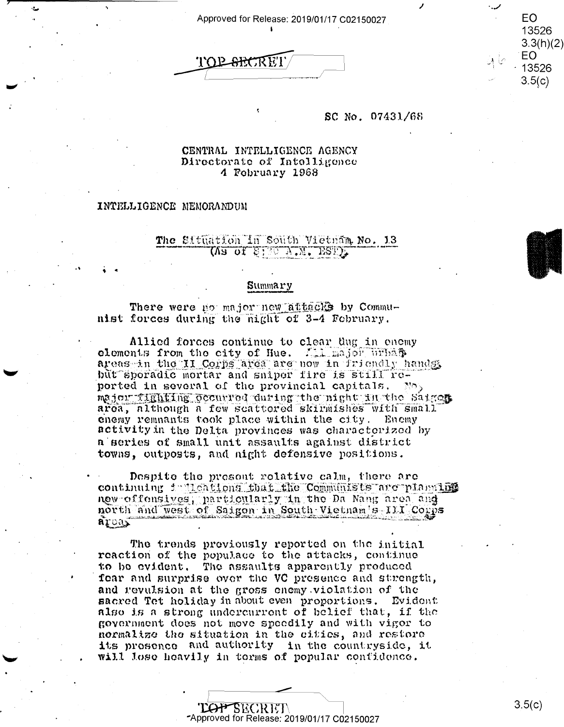Approved for Release: 2019/01/17 C02150027

TOP SHORE!

### SC No. 07431/68

### CENTRAL INTELLIGENCE AGENCY Directorate of Intelligence 4 February 1968

### INTELLIGENCE MEMORANDUM

## The Situation in South Vietnam No. 13 (Va of Siso A'M' E25) ?

#### Summary

There were no major new attacks by Communist forces during the night of 3-4 February.

Allied forces continue to clear dug in enemy clements from the city of Hue. All major urbas areas in the II Corps area are now in friendly hands but sporadic mortar and sniper fire is still reported in several of the provincial capitals. Not major fighting occurred during the night in the Saiges. area, although a few scattered skirmishes with small enemy remnants took place within the city. Enemy activity in the Delta provinces was characterized by a series of small unit assaults against district towns, outposts, and night defensive positions.

Despite the present relative calm, there are continuing indications that the Communists are planting new offensives, particularly in the Da Nang area and north and west of Saigon in South Vietnam's III Corps aroas

The trends previously reported on the initial reaction of the populace to the attacks, continue to be evident. The assaults apparently produced fear and surprise over the VC presence and strength, and revulsion at the gross enemy violation of the sacred Tet holiday in about even proportions. Evident also is a strong undercurrent of belief that, if the government does not move speedily and with vigor to normalize the situation in the cities, and restore its presence and authority in the countryside, it will lose heavily in terms of popular confidence.

### TOP SECRET Approved for Release: 2019/01/17 C02150027

 $3.5(c)$ 

**EO** 

13526  $3.3(h)(2)$ EO.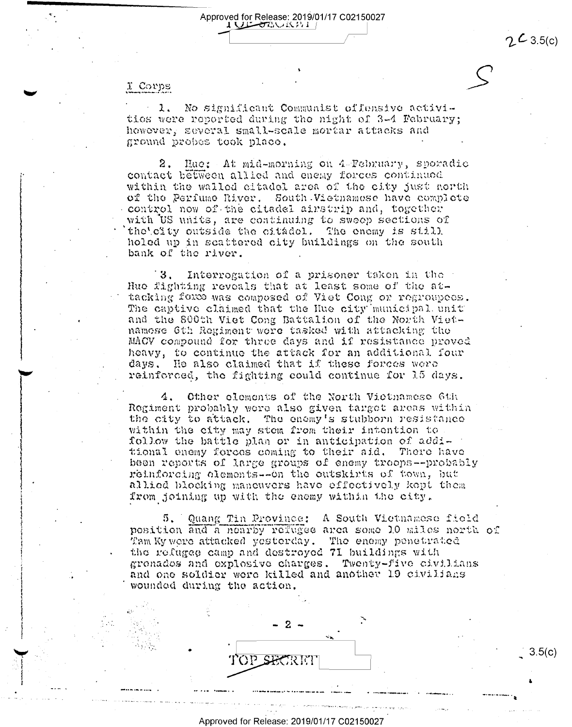$2\angle 3.5(c)$ 

 $3.5(c)$ 

# I Corps

 $\lambda$ . No significant Communist offensive activitios were reported during the night of 3-4 February; however, several small-scale mortar attacks and ground probes took place.

Approved for Release: 2019/01/17 C02150027

**I WE STANKINE** 

2. Hae: At mid-morning on  $4$  Tebruary, sporadio contact between allied and enemy forces continued within the walled citadel area of the city just north of the Perfume River. South Vietnamese have complete control now of the citadel airstrip and, together with US units, are continuing to sweep sections of the'city outside the citadel. The enemy is still holed up in scattered city buildings on the south bank of the river.

 $3.$ Interrogation of a prisoner taken in the Huo fighting revoals that at least some of the attacking force was composed of Viet Cong or regroupees. The captive claimed that the Hue city municipal unit and the 800th Viet Cong Battalion of the North Vietnamose 6th Regiment wore tasked with attacking the MACV compound for three days and if resistance proved heavy, to continue the attack for an additional four days. He also claimed that if these forces were reinforced, the fighting could continue for 15 days.

Other elements of the North Victnamese 6th  $4.$ Regiment probably were also given target areas within the city to attack. The enemy's stubborn resistance within the city may stem from their intention to follow the battle plan or in anticipation of additional enemy forces coming to their aid. There have been reports of large groups of enemy troops--probably reinforcing olements--on the outskirts of town, but allied blocking mancuvers have effectively kept them from joining up with the enemy within the city.

Quang Tin Province: A South Vietnamese field  $5.$ position and a nearby refugee area some 10 miles north of Tam Ky were attacked yesterday. The enemy penetrated the refugee camp and destroyed 71 buildings with gronados and explosive charges. Twenty-five civilians and one soldier were killed and another 19 civilians wounded during the action.

Approved for Release: 2019/01/17 C02150027

2

TOP SECRET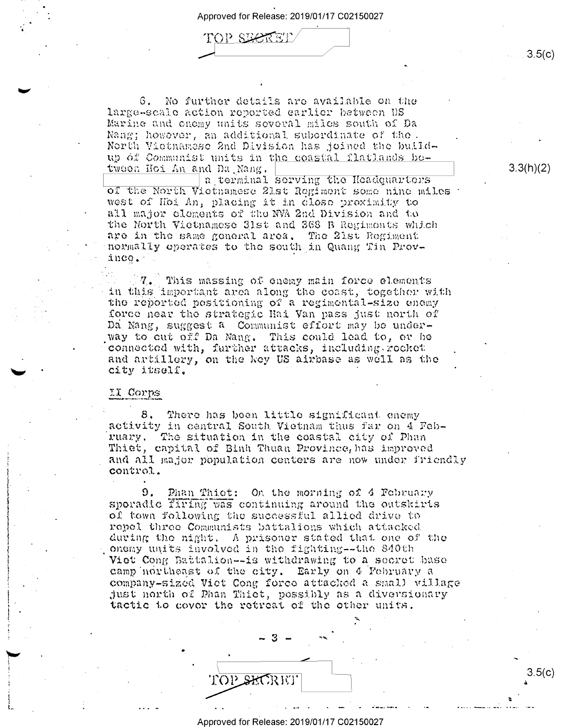Approved for Release: 2019/01/17 C02150027

TOP SECRET

6. No further details are available on the large-scale action reported earlier between BS Marine and onomy units several miles south of Da Nang; however, an additional subordinate of the. North Vietnamese 2nd Division has joined the buildup of Communist units in the coastal flatlands between Hoi An and Da Nang.

a terminal serving the Headquarters of the North Victnamese 21st Regiment some nine miles west of Hoi An, placing it in close proximity to all major elements of the NVA 2nd Division and to the North Victnamese 31st and 368 B Regiments which are in the same general area. The 21st Regiment normally operates to the south in Quang Tin Province.

This massing of enemy main force elements in this important area along the coast, together with the reported positioning of a regimental-size enemy force near the strategic Hai Van pass just north of Da Nang, suggest a Communist effort may be underway to out off Da Nang. This could lead to, or be connected with, further attacks, including rocket and artillery, on the key US airbase as well as the city itself.

## II Corps

8. There has been little significant enemy activity in central South Vietnam thus far on 4 February. The situation in the coastal city of Phan Thiet, capital of Binh Thuan Province, has improved and all major population centers are now under friendly control.

Phan Thiet: On the morning of 4 February 9. sporadic firing was continuing around the outskirts of town following the successful allied drive to repel three Communists battalions which attacked during the night. A prisoner stated that one of the onemy units involved in the fighting--the 840th Viet Cong Battalion--is withdrawing to a secret base camp northeast of the city. Early on 4 February a company-sized Viet Cong force attacked a small village just north of Phan Thiet, possibly as a diversionary tactic to cover the retreat of the other units.

 $3.3(h)(2)$ 

 $3.5(c)$ 

Approved for Release: 2019/01/17 C02150027

TOP SHORET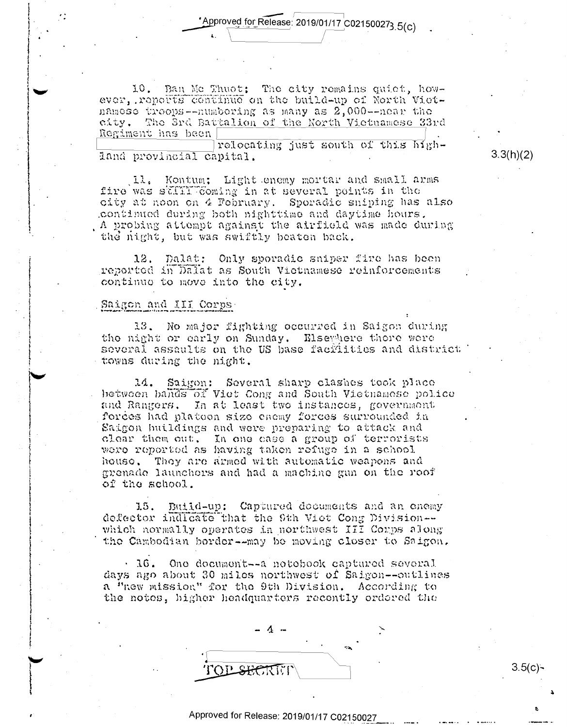'Approved for Release: 2019/01/17 C021500273 5(c)

10. Ban Mc Thuot: The city remains quiet, however, reports continue on the build-up of North Vietnamese troops--numbering as many as 2,000--near the city. The 3rd Battalion of the North Victuamese 33rd Regiment has been

relocating just south of this highland provincial capital.

Kontum; Light enemy mortar and small arms Il. fire was still coming in at several points in the city at noon on 4 February. Sporadic suiping has also continued during both nighttime and daytime hours. . A probing attempt against the airfield was made during the night, but was swiftly beaten back.

Dalat: Only sporadic sniper fire has been  $12.$ reported in Dalat as South Victnamese reinforcements continuo to move into the city.

### Saigon and III Corps.

13. No major fighting occurred in Saigon during the night or early on Sunday. Elsewhere there were several assaults on the US base facilities and district towns during the night.

Saigon: Several sharp clashes took place 14. between bands of Viet Cong and South Vietnamese police and Rangers. In at least two instances, government forces had platoon size enemy forces surrounded in Saigon buildings and were preparing to attack and clear them out. In one case a group of terrorists were reported as having taken refuge in a school house. They are armed with automatic weapons and grenade launchers and had a machine gun on the roof of the school.

15. Build-up: Captured documents and an enemy defector indicate that the 9th Viet Cong Division-which normally operates in northwest III Corps along the Cambodian border--may be moving closer to Saigon.

· 16. One document -- a notobook captured several days ago about 30 miles northwest of Saigon--outlines a "new mission" for the 9th Division. According to the notes, higher headquarters recently ordered the

**FOR SHORTH** 

 $3.5(c)$ -

 $3.3(h)(2)$ 

## Approved for Release: 2019/01/17 C02150027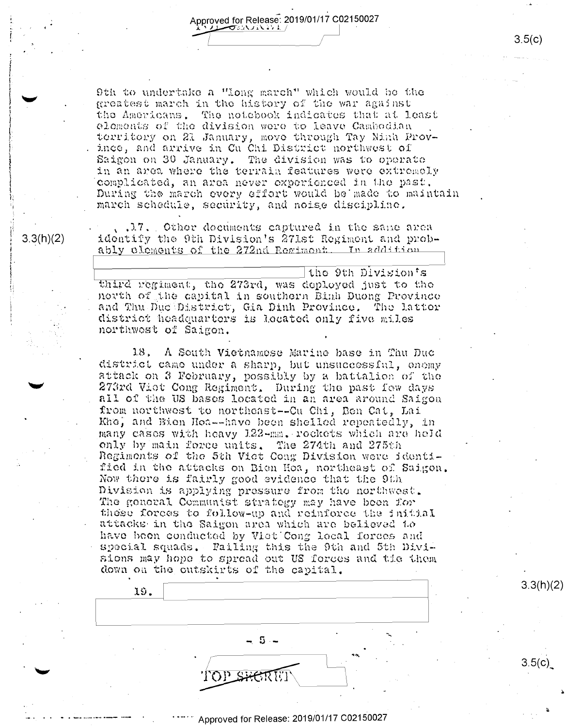Approved for Release: 2019/01/17 C02150027 プッソヘン エミュンコン

9th to undertake a "long march" which would be the greatest march in the history of the war against the Americans. The notebook indicates that at least elements of the division were to leave Cambodian territory on 21 January, move through Tay Ninh Province, and arrive in Cu Chi District northwest of Saigon on 30 January. The division was to operate in an area where the terrain features were extremely complicated, an area never experienced in the past, During the march every effort would be made to maintain march schedule, security, and noise discipline.

...I7. Other decuments captured in the same area identify the 9th Division's 271st Regiment and probably cloments of the 272nd Regiment. In addition

 $3.3(h)(2)$ 

the 9th Division's third regiment, the 273rd, was deployed just to the north of the capital in southern Binh Duong Province and Thu Due District, Gia Dinh Province. The Latter district headquarters is located only five miles northwest of Saigon.

18, A South Vietnamese Marine hase in Thu Duc district came under a sharp, but unsuccessful, enemy attack on 3 February, possibly by a battalion of the 273rd Viet Cong Regiment. During the past few days all of the US bases located in an area around Saigon from northwest to northeast--Cu Chi, Ben Cat, Lai Khe, and Bien Hoa--have been shelled repeatedly, in many cases with heavy 122-mm. rockets which are held only by main force units. The 274th and 275th Regiments of the 5th Viet Cong Division were identified in the attacks on Bien Hoa, northeast of Saigon. Now there is fairly good evidence that the 9th Division is applying pressure from the northwest. The general Communist strategy may have been for these forces to follow-up and reinforce the initial attacks in the Saigon area which are believed to have been conducted by Viet Cong local forces and special squads. Failing this the 9th and 5th Divisions may hope to spread out US forces and the them down on the outskirts of the capital.

19. - 5 -**LOD** SM

Approved for Release: 2019/01/17 C02150027

 $3.3(h)(2)$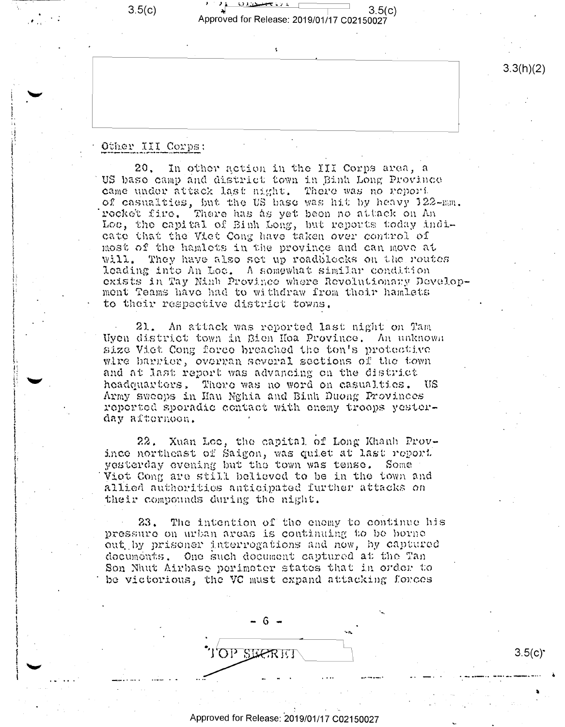$3.5(c)$ 



š.

 $3.3(h)(2)$ 

## Other III Corps:

 $20.$ In other action in the III Corps area, a US base camp and district town in Binh Long Province came under attack last night. There was no report of casualties, but the US base was hit by heavy 122-mm. rocket fire. There has as yet been no attack on An Loc, the capital of Binh Long, but reports today indicate that the Viet Cong have taken over control of most of the hamlets in the province and can move at will. They have also set up readblocks on the routes leading into An Loc. A somewhat similar condition exists in Tay Ninh Province where Revolutionary Development Teams have had to withdraw from their hamlets to their respective district towns.

 $21.$ An attack was reported last night on Tam Uyen district town in Bien Hoa Province. An unknown size Viet Cong force breached the ton's protective wire barrier, overran several sections of the town and at last report was advancing on the district headquarters. There was no word on casualties. US Army sweeps in Hau Nghia and Binh Duong Provinces reperted sporadic contact with enemy troops yesterday afternoon.

Xuan Loc, the capital of Long Khanh Prov- $22.$ ince northeast of Saigon, was quiet at last report yesterday evening but the town was tense. Some Viet Cong are still believed to be in the town and allied authorities anticipated further attacks on their compounds during the night.

The intention of the enemy to continue his 23. pressure on urban areas is continuing to be borne out by prisoner interrogations and now, by captured documents. One such document captured at the Tan Son Nhut Airbase perimeter states that in order to be victorious, the VC must expand attacking forces



 $3.5(c)$ <sup>\*</sup>

Approved for Release: 2019/01/17 C02150027